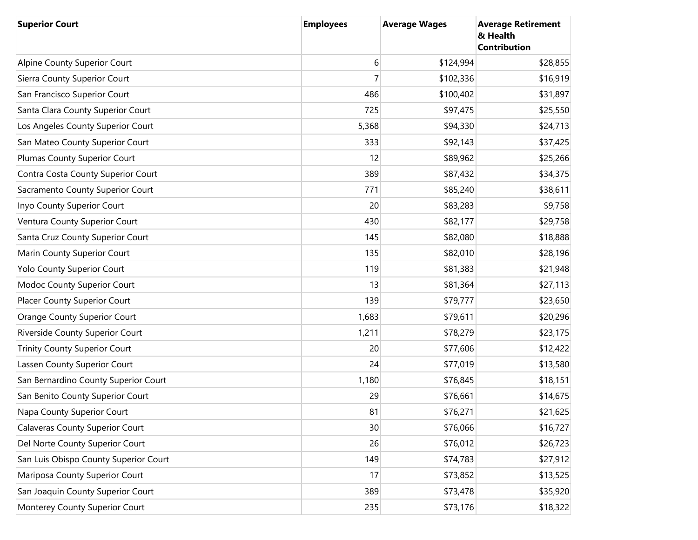| <b>Superior Court</b>                  | <b>Employees</b> | <b>Average Wages</b> | <b>Average Retirement</b><br>& Health<br><b>Contribution</b> |
|----------------------------------------|------------------|----------------------|--------------------------------------------------------------|
| Alpine County Superior Court           | 6                | \$124,994            | \$28,855                                                     |
| Sierra County Superior Court           | $\overline{7}$   | \$102,336            | \$16,919                                                     |
| San Francisco Superior Court           | 486              | \$100,402            | \$31,897                                                     |
| Santa Clara County Superior Court      | 725              | \$97,475             | \$25,550                                                     |
| Los Angeles County Superior Court      | 5,368            | \$94,330             | \$24,713                                                     |
| San Mateo County Superior Court        | 333              | \$92,143             | \$37,425                                                     |
| Plumas County Superior Court           | 12               | \$89,962             | \$25,266                                                     |
| Contra Costa County Superior Court     | 389              | \$87,432             | \$34,375                                                     |
| Sacramento County Superior Court       | 771              | \$85,240             | \$38,611                                                     |
| Inyo County Superior Court             | 20               | \$83,283             | \$9,758                                                      |
| Ventura County Superior Court          | 430              | \$82,177             | \$29,758                                                     |
| Santa Cruz County Superior Court       | 145              | \$82,080             | \$18,888                                                     |
| Marin County Superior Court            | 135              | \$82,010             | \$28,196                                                     |
| Yolo County Superior Court             | 119              | \$81,383             | \$21,948                                                     |
| Modoc County Superior Court            | 13               | \$81,364             | \$27,113                                                     |
| Placer County Superior Court           | 139              | \$79,777             | \$23,650                                                     |
| <b>Orange County Superior Court</b>    | 1,683            | \$79,611             | \$20,296                                                     |
| Riverside County Superior Court        | 1,211            | \$78,279             | \$23,175                                                     |
| <b>Trinity County Superior Court</b>   | 20               | \$77,606             | \$12,422                                                     |
| Lassen County Superior Court           | 24               | \$77,019             | \$13,580                                                     |
| San Bernardino County Superior Court   | 1,180            | \$76,845             | \$18,151                                                     |
| San Benito County Superior Court       | 29               | \$76,661             | \$14,675                                                     |
| Napa County Superior Court             | 81               | \$76,271             | \$21,625                                                     |
| <b>Calaveras County Superior Court</b> | 30               | \$76,066             | \$16,727                                                     |
| Del Norte County Superior Court        | 26               | \$76,012             | \$26,723                                                     |
| San Luis Obispo County Superior Court  | 149              | \$74,783             | \$27,912                                                     |
| Mariposa County Superior Court         | 17               | \$73,852             | \$13,525                                                     |
| San Joaquin County Superior Court      | 389              | \$73,478             | \$35,920                                                     |
| Monterey County Superior Court         | 235              | \$73,176             | \$18,322                                                     |